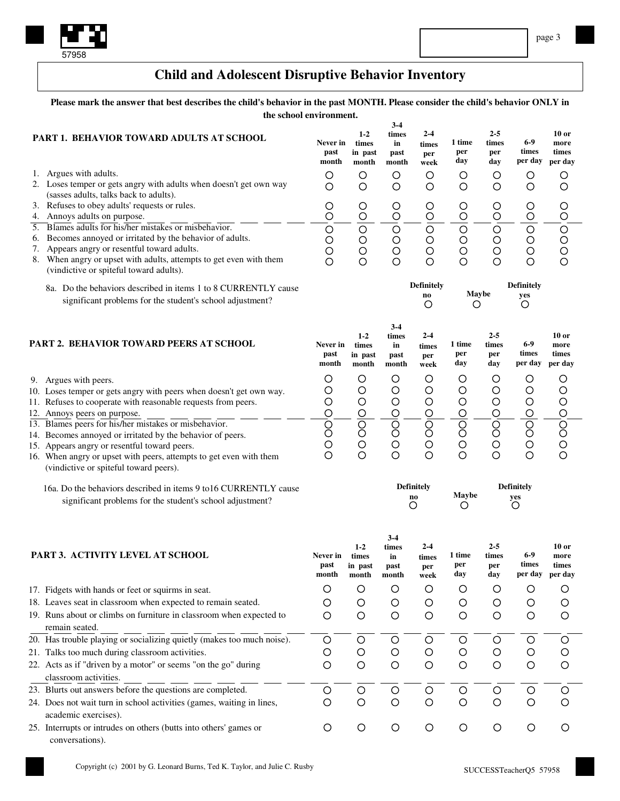

## **Child and Adolescent Disruptive Behavior Inventory**

Please mark the answer that best describes the child's behavior in the past MONTH. Please consider the child's behavior ONLY in **the school environment.**

| PART 1. BEHAVIOR TOWARD ADULTS AT SCHOOL |                                                                                                                                                              | Never in<br>past<br>month | $1-2$<br>times<br>in past<br>month | $3-4$<br>times<br>in<br>past<br>month | $2-4$<br>times<br>per         | 1 time<br>per<br>day    | $2 - 5$<br>times<br>per<br>day | 6-9<br>times<br>per day       | $10$ or<br>more<br>times<br>per day |
|------------------------------------------|--------------------------------------------------------------------------------------------------------------------------------------------------------------|---------------------------|------------------------------------|---------------------------------------|-------------------------------|-------------------------|--------------------------------|-------------------------------|-------------------------------------|
| 1.                                       | Argues with adults.                                                                                                                                          | O                         | $\circ$                            | $\circ$                               | week<br>O                     | $\circ$                 | $\circ$                        |                               | O                                   |
|                                          | 2. Loses temper or gets angry with adults when doesn't get own way                                                                                           | O                         | $\circ$                            | $\circ$                               | $\circ$                       | $\circ$                 | $\circ$                        | O<br>$\circ$                  | $\circ$                             |
|                                          | (sasses adults, talks back to adults).                                                                                                                       |                           |                                    |                                       |                               |                         |                                |                               |                                     |
|                                          | 3. Refuses to obey adults' requests or rules.                                                                                                                | $\circ$                   | $\circ$                            | $\circ$                               | $\circ$                       | $\circ$                 | O                              | $\circ$                       | $\circ$                             |
|                                          | 4. Annoys adults on purpose.                                                                                                                                 | $\circ$                   | $\circ$                            | $\circ$                               | $\circ$                       | Ō                       | $\circ$                        | $\circ$                       | $\circ$                             |
| $\overline{5}$ .                         | Blames adults for his/her mistakes or misbehavior.<br>6. Becomes annoyed or irritated by the behavior of adults.                                             | $\circ$                   | $\overline{\circ}$                 | $\circ$                               | $\overline{O}$                | $\overline{\bigcirc}$   | $\circ$                        | $\circ$                       |                                     |
| 7.                                       | Appears angry or resentful toward adults.                                                                                                                    | O<br>$\circ$              | $\bigcirc$<br>$\circ$              | $\circ$<br>$\circ$                    | $\circ$<br>$\circ$            | $\circ$<br>$\circ$      | $\circ$<br>$\circ$             | $\overline{O}$                |                                     |
|                                          | 8. When angry or upset with adults, attempts to get even with them<br>(vindictive or spiteful toward adults).                                                | $\circ$                   | $\circ$                            | $\overline{O}$                        | $\circ$                       | $\overline{O}$          | $\circ$                        | $\overline{O}$                | OOOO                                |
|                                          | 8a. Do the behaviors described in items 1 to 8 CURRENTLY cause                                                                                               |                           |                                    |                                       | <b>Definitely</b>             |                         |                                | <b>Definitely</b>             |                                     |
|                                          | significant problems for the student's school adjustment?                                                                                                    |                           |                                    |                                       | no<br>$\circ$                 | Maybe<br>O              |                                | yes<br>O                      |                                     |
|                                          | PART 2. BEHAVIOR TOWARD PEERS AT SCHOOL                                                                                                                      | Never in<br>past<br>month | $1-2$<br>times<br>in past<br>month | $3-4$<br>times<br>in<br>past<br>month | $2-4$<br>times<br>per<br>week | 1 time<br>per<br>day    | $2 - 5$<br>times<br>per<br>day | $6-9$<br>times<br>per day     | $10$ or<br>more<br>times<br>per day |
|                                          | 9. Argues with peers.                                                                                                                                        | O                         | $\circ$                            | O                                     | Ο                             | $\circ$                 | O                              | O                             | $\circ$                             |
|                                          | 10. Loses temper or gets angry with peers when doesn't get own way.                                                                                          | O                         | $\circ$                            | $\circ$                               | $\circ$                       | $\circ$                 | $\circ$                        | O                             | $\circ$                             |
|                                          | 11. Refuses to cooperate with reasonable requests from peers.                                                                                                | $\circ$                   | $\bigcirc$                         | $\bigcirc$                            | $\bigcirc$                    | $\circ$                 | $\circ$                        | $\circ$                       |                                     |
|                                          | 12. Annoys peers on purpose.                                                                                                                                 | $\circ$                   | $\overline{O}$                     | $\overline{O}$                        | $\overline{O}$                | $\circ$                 | $\circ$                        | $\overline{O}$                |                                     |
|                                          | 13. Blames peers for his/her mistakes or misbehavior.                                                                                                        | 0<br>0                    | $\overline{8}$                     | $\overline{\text{S}}$                 | $\bar{\mathcal{S}}$           | $\overline{\text{S}}$   | $\overline{S}$                 | $\overline{O}$                |                                     |
|                                          | 14. Becomes annoyed or irritated by the behavior of peers.                                                                                                   |                           |                                    |                                       |                               |                         |                                |                               |                                     |
|                                          | 15. Appears angry or resentful toward peers.<br>16. When angry or upset with peers, attempts to get even with them<br>(vindictive or spiteful toward peers). | O<br>$\overline{O}$       | $\circ$<br>$\circ$                 | $\circ$<br>$\circ$                    | $\circ$<br>$\circ$            | $\circ$<br>$\circ$      | $\circ$<br>$\circ$             | $\overline{O}$<br>$\circ$     | 000000                              |
|                                          | 16a. Do the behaviors described in items 9 to 16 CURRENTLY cause<br>significant problems for the student's school adjustment?                                |                           |                                    |                                       | <b>Definitely</b><br>no.<br>O | <b>Maybe</b><br>$\circ$ |                                | <b>Definitely</b><br>yes<br>O |                                     |
|                                          | PART 3. ACTIVITY LEVEL AT SCHOOL                                                                                                                             | Never in<br>past<br>month | $1-2$<br>times<br>in past<br>month | $3-4$<br>times<br>in<br>past<br>month | $2-4$<br>times<br>per<br>week | 1 time<br>per<br>day    | $2 - 5$<br>times<br>per<br>day | 6-9<br>times<br>per day       | $10$ or<br>more<br>times<br>per day |
|                                          | 17. Fidgets with hands or feet or squirms in seat.                                                                                                           | O                         | $\circ$                            | $\circ$                               | $\circ$                       | $\circ$                 | O                              | $\circ$                       | $\circ$                             |
|                                          | 18. Leaves seat in classroom when expected to remain seated.                                                                                                 | Ő                         | $\circ$                            | $\circ$                               | $\circ$                       | $\circ$                 | $\circ$                        | $\circ$                       | О                                   |
|                                          | 19. Runs about or climbs on furniture in classroom when expected to<br>remain seated.                                                                        | O                         | $\circ$                            | $\circ$                               | $\circ$                       | $\circ$                 | $\circ$                        | $\circ$                       | $\circ$                             |
|                                          | 20. Has trouble playing or socializing quietly (makes too much noise).                                                                                       | $\circ$                   | $\bigcirc$                         | $\circ$                               | $\circ$                       | $\circ$                 | $\circ$                        | $\circ$                       | $\circ$                             |
|                                          | 21. Talks too much during classroom activities.                                                                                                              | O                         | $\circ$                            | $\circ$                               | $\circ$                       | $\circ$                 | $\circ$                        | $\circ$                       | O                                   |
|                                          | 22. Acts as if "driven by a motor" or seems "on the go" during<br>classroom activities.                                                                      | $\circ$                   | $\circ$                            | $\circ$                               | $\circ$                       | $\circ$                 | $\circ$                        | $\circ$                       | $\circ$                             |
|                                          | 23. Blurts out answers before the questions are completed.                                                                                                   | $\circ$                   | $\circ$                            | $\circ$                               | $\circ$                       | $\circ$                 | $\circ$                        | $\circ$                       | $\circ$                             |
|                                          | 24. Does not wait turn in school activities (games, waiting in lines,<br>academic exercises).                                                                | O                         | $\circ$                            | $\circ$                               | O                             | $\circ$                 | $\circ$                        | $\circ$                       | O                                   |
|                                          | 25. Interrupts or intrudes on others (butts into others' games or<br>conversations).                                                                         | $\circ$                   | $\circ$                            | $\circ$                               | $\circ$                       | $\circ$                 | $\circ$                        | $\circ$                       | $\circ$                             |